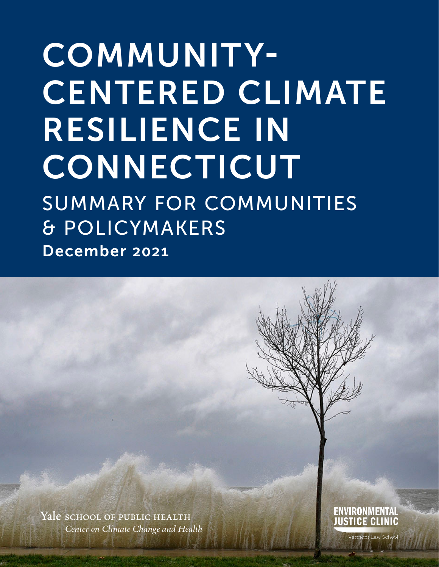# COMMUNITY-CENTERED CLIMATE RESILIENCE IN **CONNECTICUT** SUMMARY FOR COMMUNITIES & POLICYMAKERS

December 2021

Yale school of public health *Center on Climate Change and Health*  ENVIRONMENTAL **LICE CLINIC**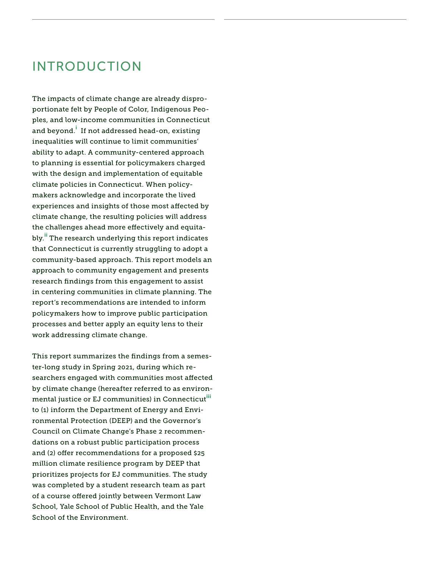### INTRODUCTION

The impacts of climate change are already disproportionate felt by People of Color, Indigenous Peoples, and low-income communities in Connecticut and beyond.<sup>i</sup> If not addressed head-on, existing inequalities will continue to limit communities' ability to adapt. A community-centered approach to planning is essential for policymakers charged with the design and implementation of equitable climate policies in Connecticut. When policymakers acknowledge and incorporate the lived experiences and insights of those most afected by climate change, the resulting policies will address the challenges ahead more efectively and equitably.<sup>ii</sup> The research underlying this report indicates that Connecticut is currently struggling to adopt a community-based approach. This report models an approach to community engagement and presents research fndings from this engagement to assist in centering communities in climate planning. The report's recommendations are intended to inform policymakers how to improve public participation processes and better apply an equity lens to their work addressing climate change.

This report summarizes the fndings from a semester-long study in Spring 2021, during which researchers engaged with communities most afected by climate change (hereafter referred to as environmental justice or EJ communities) in Connecticut<sup>iii</sup> to (1) inform the Department of Energy and Environmental Protection (DEEP) and the Governor's Council on Climate Change's Phase 2 recommendations on a robust public participation process and (2) offer recommendations for a proposed \$25 million climate resilience program by DEEP that prioritizes projects for EJ communities. The study was completed by a student research team as part of a course offered jointly between Vermont Law School, Yale School of Public Health, and the Yale School of the Environment.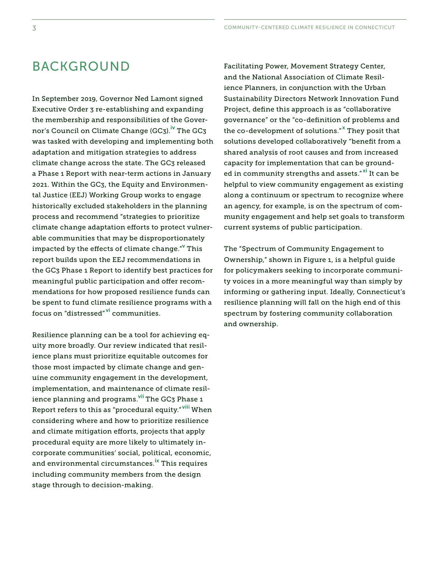### BACKGROUND

In September 2019, Governor Ned Lamont signed Executive Order 3 re-establishing and expanding the membership and responsibilities of the Governor's Council on Climate Change (GC3).<sup>iv</sup> The GC3 was tasked with developing and implementing both adaptation and mitigation strategies to address climate change across the state. The GC3 released a Phase 1 Report with near-term actions in January 2021. Within the GC3, the Equity and Environmental Justice (EEJ) Working Group works to engage historically excluded stakeholders in the planning process and recommend "strategies to prioritize climate change adaptation efforts to protect vulnerable communities that may be disproportionately impacted by the effects of climate change." $^{\sf v}$  This report builds upon the EEJ recommendations in the GC3 Phase 1 Report to identify best practices for meaningful public participation and offer recommendations for how proposed resilience funds can be spent to fund climate resilience programs with a focus on "distressed" <sup>vi</sup> communities.

Resilience planning can be a tool for achieving equity more broadly. Our review indicated that resilience plans must prioritize equitable outcomes for those most impacted by climate change and genuine community engagement in the development, implementation, and maintenance of climate resilience planning and programs.<sup>vii</sup> The GC3 Phase 1 Report refers to this as "procedural equity." <sup>viii</sup> When considering where and how to prioritize resilience and climate mitigation efforts, projects that apply procedural equity are more likely to ultimately incorporate communities' social, political, economic, and environmental [circumstances.](https://circumstances.ix)<sup>ix</sup> This requires including community members from the design stage through to decision-making.

Facilitating Power, Movement Strategy Center, and the National Association of Climate Resilience Planners, in conjunction with the Urban Sustainability Directors Network Innovation Fund Project, define this approach is as "collaborative governance" or the "co-defnition of problems and the co-development of solutions."<sup>x</sup> They posit that solutions developed collaboratively "benefit from a shared analysis of root causes and from increased capacity for implementation that can be grounded in community strengths and assets."<sup>xi</sup> It can be helpful to view community engagement as existing along a continuum or spectrum to recognize where an agency, for example, is on the spectrum of community engagement and help set goals to transform current systems of public participation.

The "Spectrum of Community Engagement to Ownership," shown in Figure 1, is a helpful guide for policymakers seeking to incorporate community voices in a more meaningful way than simply by informing or gathering input. Ideally, Connecticut's resilience planning will fall on the high end of this spectrum by fostering community collaboration and ownership.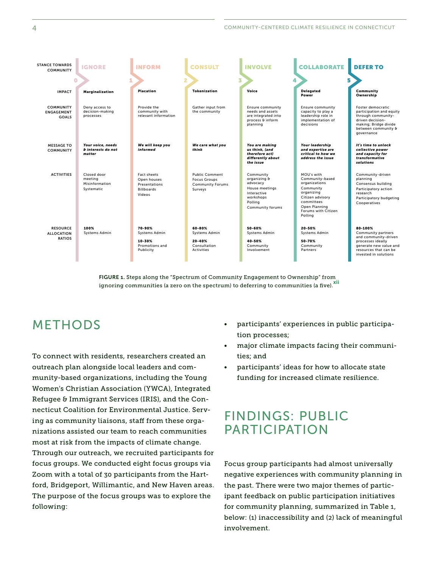| <b>STANCE TOWARDS</b><br><b>COMMUNITY</b>             | <b>IGNORE</b>                                          | <b>INFORM</b>                                                                     | <b>CONSULT</b>                                                                     | <b>INVOLVE</b>                                                                                                     | <b>COLLABORATE</b>                                                                                                                                             | <b>DEFER TO</b>                                                                                                                                        |
|-------------------------------------------------------|--------------------------------------------------------|-----------------------------------------------------------------------------------|------------------------------------------------------------------------------------|--------------------------------------------------------------------------------------------------------------------|----------------------------------------------------------------------------------------------------------------------------------------------------------------|--------------------------------------------------------------------------------------------------------------------------------------------------------|
| <b>IMPACT</b>                                         | Marginalization                                        | <b>Placation</b>                                                                  | 3<br><b>Tokenization</b>                                                           | Voice                                                                                                              | 5<br>Delegated<br>Power                                                                                                                                        | Community<br>Ownership                                                                                                                                 |
| <b>COMMUNITY</b><br><b>ENGAGEMENT</b><br><b>GOALS</b> | Deny access to<br>decision-making<br>processes         | Provide the<br>community with<br>relevant information                             | Gather input from<br>the community                                                 | <b>Ensure community</b><br>needs and assets<br>are integrated into<br>process & inform<br>planning                 | <b>Ensure community</b><br>capacity to play a<br>leadership role in<br>implementation of<br>decisions                                                          | Foster democratic<br>participation and equity<br>through community-<br>driven decision-<br>making; Bridge divide<br>between community &<br>governance  |
| <b>MESSAGE TO</b><br><b>COMMUNITY</b>                 | Your voice, needs<br>& interests do not<br>matter      | We will keep you<br>informed                                                      | We care what you<br>think                                                          | You are making<br>us think, (and<br>therefore act)<br>differently about<br>the issue                               | Your leadership<br>and expertise are<br>critical to how we<br>address the issue                                                                                | It's time to unlock<br>collective power<br>and capacity for<br>transformative<br>solutions                                                             |
| <b>ACTIVITIES</b>                                     | Closed door<br>meeting<br>Misinformation<br>Systematic | <b>Fact sheets</b><br>Open houses<br>Presentations<br><b>Billboards</b><br>Videos | <b>Public Comment</b><br><b>Focus Groups</b><br><b>Community Forums</b><br>Surveys | Community<br>organizing &<br>advocacy<br>House meetings<br>Interactive<br>workshops<br>Polling<br>Community forums | MOU's with<br>Community-based<br>organizations<br>Community<br>organizing<br>Citizen advisory<br>committees<br>Open Planning<br>Forums with Citizen<br>Polling | Community-driven<br>planning<br>Consensus building<br>Participatory action<br>research<br>Participatory budgeting<br>Cooperatives                      |
| <b>RESOURCE</b><br><b>ALLOCATION</b><br><b>RATIOS</b> | 100%<br><b>Systems Admin</b>                           | 70-90%<br><b>Systems Admin</b><br>10-30%<br>Promotions and<br>Publicity           | 60-80%<br>Systems Admin<br>20-40%<br>Consultation<br><b>Activities</b>             | 50-60%<br>Systems Admin<br>40-50%<br>Community<br>Involvement                                                      | 20-50%<br>Systems Admin<br>50-70%<br>Community<br>Partners                                                                                                     | 80-100%<br>Community partners<br>and community-driven<br>processes ideally<br>generate new value and<br>resources that can be<br>invested in solutions |

FIGURE 1. Steps along the "Spectrum of Community Engagement to Ownership" from ignoring communities (a zero on the spectrum) to deferring to communities (a five). Xii

### METHODS

To connect with residents, researchers created an outreach plan alongside local leaders and community-based organizations, including the Young Women's Christian Association (YWCA), Integrated Refugee & Immigrant Services (IRIS), and the Connecticut Coalition for Environmental Justice. Serving as community liaisons, staff from these organizations assisted our team to reach communities most at risk from the impacts of climate change. Through our outreach, we recruited participants for focus groups. We conducted eight focus groups via Zoom with a total of 30 participants from the Hartford, Bridgeport, Willimantic, and New Haven areas. The purpose of the focus groups was to explore the following:

- tion processes; • participants' experiences in public participa-
- ties; and major climate impacts facing their communi-
- participants' ideas for how to allocate state funding for increased climate resilience.

### FINDINGS: PUBLIC PARTICIPATION

Focus group participants had almost universally negative experiences with community planning in the past. There were two major themes of participant feedback on public participation initiatives for community planning, summarized in Table 1, below: (1) inaccessibility and (2) lack of meaningful involvement.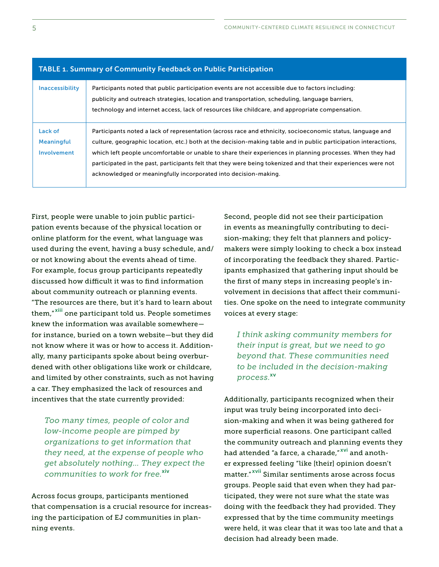| <b>Inaccessibility</b>                      | Participants noted that public participation events are not accessible due to factors including:<br>publicity and outreach strategies, location and transportation, scheduling, language barriers,<br>technology and internet access, lack of resources like childcare, and appropriate compensation.                                                                                                                                                                                                                           |
|---------------------------------------------|---------------------------------------------------------------------------------------------------------------------------------------------------------------------------------------------------------------------------------------------------------------------------------------------------------------------------------------------------------------------------------------------------------------------------------------------------------------------------------------------------------------------------------|
| Lack of<br><b>Meaningful</b><br>Involvement | Participants noted a lack of representation (across race and ethnicity, socioeconomic status, language and<br>culture, geographic location, etc.) both at the decision-making table and in public participation interactions,<br>which left people uncomfortable or unable to share their experiences in planning processes. When they had<br>participated in the past, participants felt that they were being tokenized and that their experiences were not<br>acknowledged or meaningfully incorporated into decision-making. |

#### TABLE 1. Summary of Community Feedback on Public Participation

 incentives that the state currently provided: First, people were unable to join public participation events because of the physical location or online platform for the event, what language was used during the event, having a busy schedule, and/ or not knowing about the events ahead of time. For example, focus group participants repeatedly discussed how difficult it was to find information about community outreach or planning events. "The resources are there, but it's hard to learn about them,"<sup>xiii</sup> one participant told us. People sometimes knew the information was available somewhere for instance, buried on a town website—but they did not know where it was or how to access it. Additionally, many participants spoke about being overburdened with other obligations like work or childcare, and limited by other constraints, such as not having a car. They emphasized the lack of resources and

 *communities to work for free.*xiv *Too many times, people of color and low-income people are pimped by organizations to get information that they need, at the expense of people who get absolutely nothing… They expect the* 

Across focus groups, participants mentioned that compensation is a crucial resource for increasing the participation of EJ communities in planning events.

 voices at every stage: Second, people did not see their participation in events as meaningfully contributing to decision-making; they felt that planners and policymakers were simply looking to check a box instead of incorporating the feedback they shared. Participants emphasized that gathering input should be the frst of many steps in increasing people's involvement in decisions that afect their communities. One spoke on the need to integrate community

 xv *process. I think asking community members for their input is great, but we need to go beyond that. These communities need to be included in the decision-making* 

Additionally, participants recognized when their input was truly being incorporated into decision-making and when it was being gathered for more superficial reasons. One participant called the community outreach and planning events they had attended "a farce, a charade,"<sup>xvi</sup> and another expressed feeling "like [their] opinion doesn't matter." xvii Similar sentiments arose across focus groups. People said that even when they had participated, they were not sure what the state was doing with the feedback they had provided. They expressed that by the time community meetings were held, it was clear that it was too late and that a decision had already been made.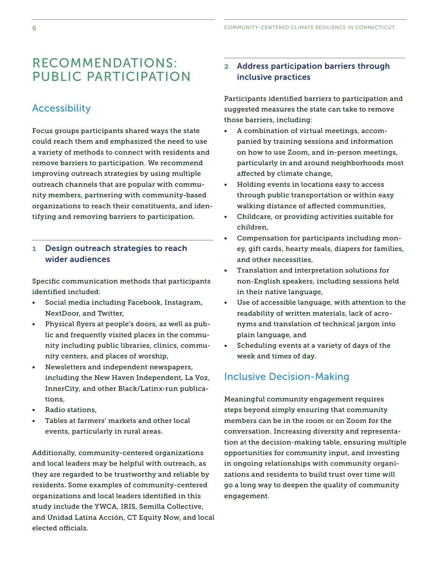### RECOMMENDATIONS: 2 Address participation barriers through PUBLIC PARTICIPATION inclusive practices

Focus groups participants shared ways the state could reach them and emphasized the need to use a variety of methods to connect with residents and remove barriers to participation. We recommend improving outreach strategies by using multiple outreach channels that are popular with community members, partnering with community-based organizations to reach their constituents, and identifying and removing barriers to participation.

#### wider audiences 1 Design outreach strategies to reach

identified included: Specifc communication methods that participants

- Social media including Facebook, Instagram, NextDoor, and Twitter, • Physical fyers at people's doors, as well as pub-
- nity centers, and places of worship, lic and frequently visited places in the community including public libraries, clinics, commu-
- Newsletters and independent newspapers, including the New Haven Independent, La Voz, InnerCity, and other Black/Latinx-run publications,
- Radio stations,
- Tables at farmers' markets and other local events, particularly in rural areas.

Additionally, community-centered organizations and local leaders may be helpful with outreach, as they are regarded to be trustworthy and reliable by residents. Some examples of community-centered organizations and local leaders identifed in this study include the YWCA, IRIS, Semilla Collective, and Unidad Latina Acción, CT Equity Now, and local elected officials.

Participants identifed barriers to participation and Accessibility and the suggested measures the state can take to remove those barriers, including:

- affected by climate change, • A combination of virtual meetings, accompanied by training sessions and information on how to use Zoom, and in-person meetings, particularly in and around neighborhoods most
- walking distance of affected communities, • Holding events in locations easy to access through public transportation or within easy
- children. • Childcare, or providing activities suitable for
- and other necessities, Compensation for participants including money, gift cards, hearty meals, diapers for families,
- Translation and interpretation solutions for non-English speakers, including sessions held in their native language,
- plain language, and • Use of accessible language, with attention to the readability of written materials, lack of acronyms and translation of technical jargon into
- Scheduling events at a variety of days of the week and times of day.

#### Inclusive Decision-Making

Meaningful community engagement requires steps beyond simply ensuring that community members can be in the room or on Zoom for the conversation. Increasing diversity and representation at the decision-making table, ensuring multiple opportunities for community input, and investing in ongoing relationships with community organizations and residents to build trust over time will go a long way to deepen the quality of community engagement.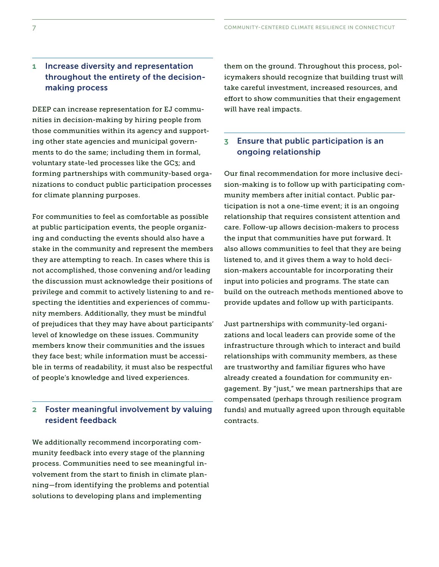#### making process 1 Increase diversity and representation throughout the entirety of the decision-

DEEP can increase representation for EJ communities in decision-making by hiring people from those communities within its agency and supporting other state agencies and municipal governments to do the same; including them in formal, voluntary state-led processes like the GC3; and forming partnerships with community-based organizations to conduct public participation processes for climate planning purposes.

For communities to feel as comfortable as possible at public participation events, the people organizing and conducting the events should also have a stake in the community and represent the members they are attempting to reach. In cases where this is not accomplished, those convening and/or leading the discussion must acknowledge their positions of privilege and commit to actively listening to and respecting the identities and experiences of community members. Additionally, they must be mindful of prejudices that they may have about participants' level of knowledge on these issues. Community members know their communities and the issues they face best; while information must be accessible in terms of readability, it must also be respectful of people's knowledge and lived experiences.

#### resident feedback 2 Foster meaningful involvement by valuing

We additionally recommend incorporating community feedback into every stage of the planning process. Communities need to see meaningful involvement from the start to finish in climate planning—from identifying the problems and potential solutions to developing plans and implementing

them on the ground. Throughout this process, policymakers should recognize that building trust will take careful investment, increased resources, and efort to show communities that their engagement will have real impacts.

#### ongoing relationship 3 Ensure that public participation is an

Our final recommendation for more inclusive decision-making is to follow up with participating community members after initial contact. Public participation is not a one-time event; it is an ongoing relationship that requires consistent attention and care. Follow-up allows decision-makers to process the input that communities have put forward. It also allows communities to feel that they are being listened to, and it gives them a way to hold decision-makers accountable for incorporating their input into policies and programs. The state can build on the outreach methods mentioned above to provide updates and follow up with participants.

Just partnerships with community-led organizations and local leaders can provide some of the infrastructure through which to interact and build relationships with community members, as these are trustworthy and familiar figures who have already created a foundation for community engagement. By "just," we mean partnerships that are compensated (perhaps through resilience program funds) and mutually agreed upon through equitable contracts.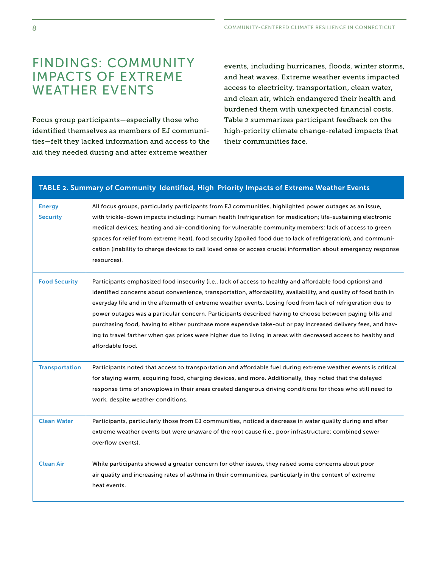### FINDINGS: COMMUNITY IMPACTS OF EXTREME WEATHER EVENTS

Focus group participants—especially those who identifed themselves as members of EJ communities—felt they lacked information and access to the aid they needed during and after extreme weather

events, including hurricanes, foods, winter storms, and heat waves. Extreme weather events impacted access to electricity, transportation, clean water, and clean air, which endangered their health and burdened them with unexpected fnancial costs. Table 2 summarizes participant feedback on the high-priority climate change-related impacts that their communities face.

### TABLE 2. Summary of Community Identified, High Priority Impacts of Extreme Weather Events Energy **Security** All focus groups, particularly participants from EJ communities, highlighted power outages as an issue, with trickle-down impacts including: human health (refrigeration for medication; life-sustaining electronic medical devices; heating and air-conditioning for vulnerable community members; lack of access to green spaces for relief from extreme heat), food security (spoiled food due to lack of refrigeration), and communication (inability to charge devices to call loved ones or access crucial information about emergency response resources). Food Security Participants emphasized food insecurity (i.e., lack of access to healthy and affordable food options) and identified concerns about convenience, transportation, affordability, availability, and quality of food both in everyday life and in the aftermath of extreme weather events. Losing food from lack of refrigeration due to power outages was a particular concern. Participants described having to choose between paying bills and purchasing food, having to either purchase more expensive take-out or pay increased delivery fees, and having to travel farther when gas prices were higher due to living in areas with decreased access to healthy and affordable food. Transportation Participants noted that access to transportation and afordable fuel during extreme weather events is critical for staying warm, acquiring food, charging devices, and more. Additionally, they noted that the delayed response time of snowplows in their areas created dangerous driving conditions for those who still need to work, despite weather conditions. Clean Water Participants, particularly those from EJ communities, noticed a decrease in water quality during and after extreme weather events but were unaware of the root cause (i.e., poor infrastructure; combined sewer overflow events). Clean Air While participants showed a greater concern for other issues, they raised some concerns about poor air quality and increasing rates of asthma in their communities, particularly in the context of extreme heat events.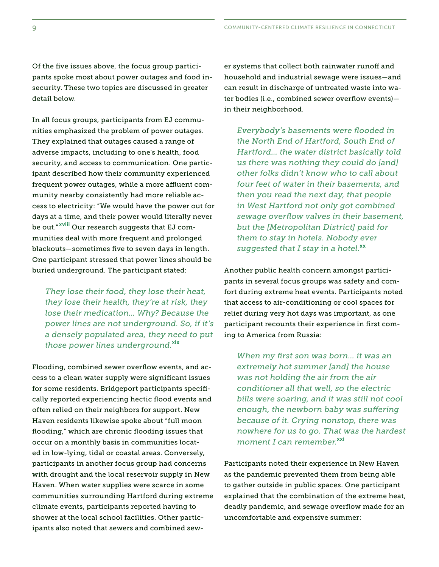Of the five issues above, the focus group participants spoke most about power outages and food insecurity. These two topics are discussed in greater detail below.

In all focus groups, participants from EJ communities emphasized the problem of power outages. They explained that outages caused a range of adverse impacts, including to one's health, food security, and access to communication. One participant described how their community experienced frequent power outages, while a more affluent community nearby consistently had more reliable access to electricity: "We would have the power out for days at a time, and their power would literally never be out." xviii Our research suggests that EJ communities deal with more frequent and prolonged blackouts-sometimes five to seven days in length. One participant stressed that power lines should be buried underground. The participant stated:

*They lose their food, they lose their heat, they lose their health, they're at risk, they lose their medication… Why? Because the power lines are not underground. So, if it's a densely populated area, they need to put those power lines underground.*<sup>xix</sup>

Flooding, combined sewer overfow events, and access to a clean water supply were signifcant issues for some residents. Bridgeport participants specifcally reported experiencing hectic food events and often relied on their neighbors for support. New Haven residents likewise spoke about "full moon fooding," which are chronic fooding issues that occur on a monthly basis in communities located in low-lying, tidal or coastal areas. Conversely, participants in another focus group had concerns with drought and the local reservoir supply in New Haven. When water supplies were scarce in some communities surrounding Hartford during extreme climate events, participants reported having to shower at the local school facilities. Other participants also noted that sewers and combined sewer systems that collect both rainwater runoff and household and industrial sewage were issues—and can result in discharge of untreated waste into water bodies (i.e., combined sewer overfow events) in their neighborhood.

*Everybody's basements were fooded in the North End of Hartford, South End of Hartford… the water district basically told us there was nothing they could do [and] other folks didn't know who to call about four feet of water in their basements, and then you read the next day, that people in West Hartford not only got combined sewage overfow valves in their basement, but the [Metropolitan District] paid for them to stay in hotels. Nobody ever suggested that I stay in a [hotel.](https://hotel.xx)*xx

 ing to America from Russia: Another public health concern amongst participants in several focus groups was safety and comfort during extreme heat events. Participants noted that access to air-conditioning or cool spaces for relief during very hot days was important, as one participant recounts their experience in first com-

*When my frst son was born… it was an extremely hot summer [and] the house was not holding the air from the air conditioner all that well, so the electric bills were soaring, and it was still not cool enough, the newborn baby was sufering because of it. Crying nonstop, there was nowhere for us to go. That was the hardest moment I can remember.*<sup>xxi</sup>

Participants noted their experience in New Haven as the pandemic prevented them from being able to gather outside in public spaces. One participant explained that the combination of the extreme heat, deadly pandemic, and sewage overfow made for an uncomfortable and expensive summer: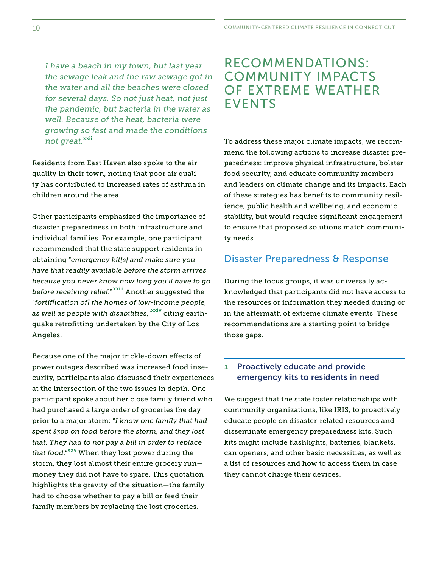*not great.*xxii *I have a beach in my town, but last year the sewage leak and the raw sewage got in the water and all the beaches were closed for several days. So not just heat, not just the pandemic, but bacteria in the water as well. Because of the heat, bacteria were growing so fast and made the conditions* 

children around the area. Residents from East Haven also spoke to the air quality in their town, noting that poor air quality has contributed to increased rates of asthma in

Other participants emphasized the importance of disaster preparedness in both infrastructure and individual families. For example, one participant recommended that the state support residents in obtaining "*emergency kit[s] and make sure you have that readily available before the storm arrives because you never know how long you'll have to go before receiving relief*." xxiii Another suggested the "*fortif[ication of] the homes of low-income people, as well as people with disabilities*,"xxiv citing earthquake retroftting undertaken by the City of Los Angeles.

Because one of the major trickle-down efects of power outages described was increased food insecurity, participants also discussed their experiences at the intersection of the two issues in depth. One participant spoke about her close family friend who had purchased a large order of groceries the day prior to a major storm: "*I know one family that had spent \$300 on food before the storm, and they lost that. They had to not pay a bill in order to replace that food*."xxv When they lost power during the storm, they lost almost their entire grocery run money they did not have to spare. This quotation highlights the gravity of the situation—the family had to choose whether to pay a bill or feed their family members by replacing the lost groceries.

### RECOMMENDATIONS: COMMUNITY IMPACTS OF EXTREME WEATHER EVENTS

To address these major climate impacts, we recommend the following actions to increase disaster preparedness: improve physical infrastructure, bolster food security, and educate community members and leaders on climate change and its impacts. Each of these strategies has benefts to community resilience, public health and wellbeing, and economic stability, but would require signifcant engagement to ensure that proposed solutions match community needs.

#### Disaster Preparedness & Response

During the focus groups, it was universally acknowledged that participants did not have access to the resources or information they needed during or in the aftermath of extreme climate events. These recommendations are a starting point to bridge those gaps.

#### 1 Proactively educate and provide emergency kits to residents in need

We suggest that the state foster relationships with community organizations, like IRIS, to proactively educate people on disaster-related resources and disseminate emergency preparedness kits. Such kits might include fashlights, batteries, blankets, can openers, and other basic necessities, as well as a list of resources and how to access them in case they cannot charge their devices.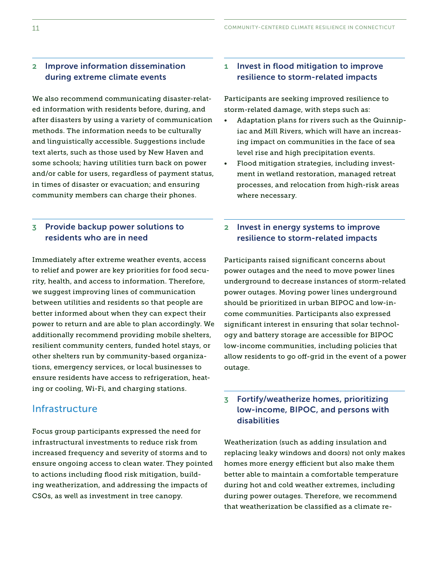#### 2 Improve information dissemination during extreme climate events

We also recommend communicating disaster-related information with residents before, during, and after disasters by using a variety of communication methods. The information needs to be culturally and linguistically accessible. Suggestions include text alerts, such as those used by New Haven and some schools; having utilities turn back on power and/or cable for users, regardless of payment status, in times of disaster or evacuation; and ensuring community members can charge their phones.

#### 3 Provide backup power solutions to residents who are in need

Immediately after extreme weather events, access to relief and power are key priorities for food security, health, and access to information. Therefore, we suggest improving lines of communication between utilities and residents so that people are better informed about when they can expect their power to return and are able to plan accordingly. We additionally recommend providing mobile shelters, resilient community centers, funded hotel stays, or other shelters run by community-based organizations, emergency services, or local businesses to ensure residents have access to refrigeration, heating or cooling, Wi-Fi, and charging stations.

#### Infrastructure

Focus group participants expressed the need for infrastructural investments to reduce risk from increased frequency and severity of storms and to ensure ongoing access to clean water. They pointed to actions including food risk mitigation, building weatherization, and addressing the impacts of CSOs, as well as investment in tree canopy.

#### 1 Invest in flood mitigation to improve resilience to storm-related impacts

storm-related damage, with steps such as: Participants are seeking improved resilience to

- level rise and high precipitation events. Adaptation plans for rivers such as the Quinnipiac and Mill Rivers, which will have an increasing impact on communities in the face of sea
- Flood mitigation strategies, including investment in wetland restoration, managed retreat processes, and relocation from high-risk areas where necessary.

#### 2 Invest in energy systems to improve resilience to storm-related impacts

 outage. Participants raised signifcant concerns about power outages and the need to move power lines underground to decrease instances of storm-related power outages. Moving power lines underground should be prioritized in urban BIPOC and low-income communities. Participants also expressed signifcant interest in ensuring that solar technology and battery storage are accessible for BIPOC low-income communities, including policies that allow residents to go off-grid in the event of a power

#### 3 Fortify/weatherize homes, prioritizing low-income, BIPOC, and persons with disabilities

Weatherization (such as adding insulation and replacing leaky windows and doors) not only makes homes more energy efficient but also make them better able to maintain a comfortable temperature during hot and cold weather extremes, including during power outages. Therefore, we recommend that weatherization be classifed as a climate re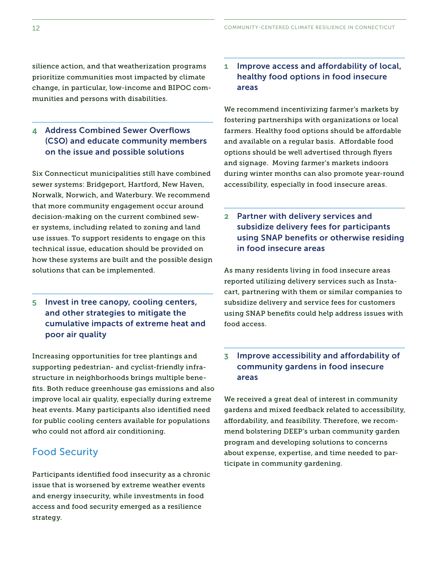prioritize communities most impacted by climate change, in particular, low-income and BIPOC communities and persons with disabilities.

#### 4 Address Combined Sewer Overflows (CSO) and educate community members on the issue and possible solutions

Six Connecticut municipalities still have combined sewer systems: Bridgeport, Hartford, New Haven, Norwalk, Norwich, and Waterbury. We recommend that more community engagement occur around decision-making on the current combined sewer systems, including related to zoning and land use issues. To support residents to engage on this technical issue, education should be provided on how these systems are built and the possible design solutions that can be implemented. strate<br>the momentum and the communities and the state in the state in the state in the state and persons with disabilities.<br>
The strategy is the second operator of the state and persons with disabilities.<br>
Address Combined

#### 5 Invest in tree canopy, cooling centers, and other strategies to mitigate the cumulative impacts of extreme heat and poor air quality

Increasing opportunities for tree plantings and supporting pedestrian- and cyclist-friendly infrastructure in neighborhoods brings multiple benefts. Both reduce greenhouse gas emissions and also improve local air quality, especially during extreme heat events. Many participants also identifed need for public cooling centers available for populations who could not afford air conditioning.

#### Food Security

strategy. Participants identifed food insecurity as a chronic issue that is worsened by extreme weather events and energy insecurity, while investments in food access and food security emerged as a resilience

### areas silience action, and that weatherization programs 1 Improve access and affordability of local,

We recommend incentivizing farmer's markets by fostering partnerships with organizations or local farmers. Healthy food options should be affordable and available on a regular basis. Affordable food options should be well advertised through fyers and signage. Moving farmer's markets indoors during winter months can also promote year-round accessibility, especially in food insecure areas.

#### 2 Partner with delivery services and subsidize delivery fees for participants using SNAP benefits or otherwise residing in food insecure areas

As many residents living in food insecure areas reported utilizing delivery services such as Instacart, partnering with them or similar companies to subsidize delivery and service fees for customers using SNAP benefts could help address issues with food access.

#### 3 Improve accessibility and affordability of community gardens in food insecure areas

We received a great deal of interest in community gardens and mixed feedback related to accessibility, afordability, and feasibility. Therefore, we recommend bolstering DEEP's urban community garden program and developing solutions to concerns about expense, expertise, and time needed to participate in community gardening.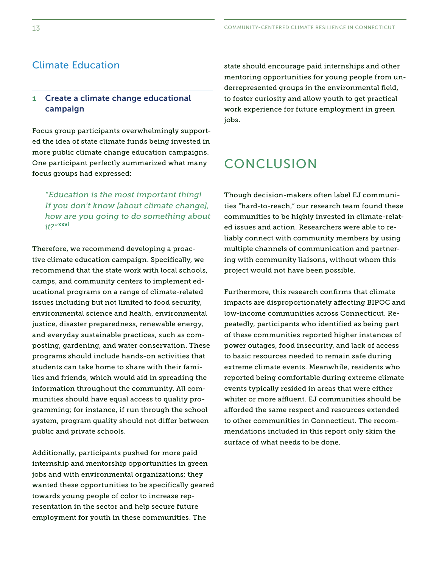### Climate Education

#### 1 Create a climate change educational campaign

 focus groups had expressed: Focus group participants overwhelmingly supported the idea of state climate funds being invested in more public climate change education campaigns. One participant perfectly summarized what many

*"Education is the most important thing! If you don't know [about climate change], how are you going to do something about it?"* xxvi

Therefore, we recommend developing a proactive climate education campaign. Specifcally, we recommend that the state work with local schools, camps, and community centers to implement educational programs on a range of climate-related issues including but not limited to food security, environmental science and health, environmental justice, disaster preparedness, renewable energy, and everyday sustainable practices, such as composting, gardening, and water conservation. These programs should include hands-on activities that students can take home to share with their families and friends, which would aid in spreading the information throughout the community. All communities should have equal access to quality programming; for instance, if run through the school system, program quality should not difer between public and private schools.

Additionally, participants pushed for more paid internship and mentorship opportunities in green jobs and with environmental organizations; they wanted these opportunities to be specifcally geared towards young people of color to increase representation in the sector and help secure future employment for youth in these communities. The

state should encourage paid internships and other mentoring opportunities for young people from underrepresented groups in the environmental feld, to foster curiosity and allow youth to get practical work experience for future employment in green jobs.

### CONCLUSION

Though decision-makers often label EJ communities "hard-to-reach," our research team found these communities to be highly invested in climate-related issues and action. Researchers were able to reliably connect with community members by using multiple channels of communication and partnering with community liaisons, without whom this project would not have been possible.

Furthermore, this research confrms that climate impacts are disproportionately afecting BIPOC and low-income communities across Connecticut. Repeatedly, participants who identifed as being part of these communities reported higher instances of power outages, food insecurity, and lack of access to basic resources needed to remain safe during extreme climate events. Meanwhile, residents who reported being comfortable during extreme climate events typically resided in areas that were either whiter or more affluent. EJ communities should be aforded the same respect and resources extended to other communities in Connecticut. The recommendations included in this report only skim the surface of what needs to be done.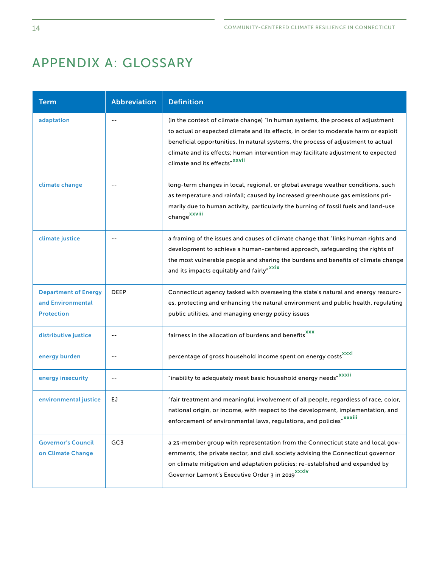## APPENDIX A: GLOSSARY

| <b>Term</b>                                                           | <b>Abbreviation</b> | <b>Definition</b>                                                                                                                                                                                                                                                                                                                                                                             |
|-----------------------------------------------------------------------|---------------------|-----------------------------------------------------------------------------------------------------------------------------------------------------------------------------------------------------------------------------------------------------------------------------------------------------------------------------------------------------------------------------------------------|
| adaptation                                                            | $\overline{a}$      | (in the context of climate change) "In human systems, the process of adjustment<br>to actual or expected climate and its effects, in order to moderate harm or exploit<br>beneficial opportunities. In natural systems, the process of adjustment to actual<br>climate and its effects; human intervention may facilitate adjustment to expected<br>climate and its effects" <sup>XXVII</sup> |
| climate change                                                        | $-$                 | long-term changes in local, regional, or global average weather conditions, such<br>as temperature and rainfall; caused by increased greenhouse gas emissions pri-<br>marily due to human activity, particularly the burning of fossil fuels and land-use<br>change <sup>xxviii</sup>                                                                                                         |
| climate justice                                                       | --                  | a framing of the issues and causes of climate change that "links human rights and<br>development to achieve a human-centered approach, safeguarding the rights of<br>the most vulnerable people and sharing the burdens and benefits of climate change<br>and its impacts equitably and fairly" <sup>XXIX</sup>                                                                               |
| <b>Department of Energy</b><br>and Environmental<br><b>Protection</b> | <b>DEEP</b>         | Connecticut agency tasked with overseeing the state's natural and energy resourc-<br>es, protecting and enhancing the natural environment and public health, regulating<br>public utilities, and managing energy policy issues                                                                                                                                                                |
| distributive justice                                                  | $-$                 | fairness in the allocation of burdens and benefits <sup>xxx</sup>                                                                                                                                                                                                                                                                                                                             |
| energy burden                                                         | --                  | percentage of gross household income spent on energy costs <sup>XXXI</sup>                                                                                                                                                                                                                                                                                                                    |
| energy insecurity                                                     | $-$                 | "inability to adequately meet basic household energy needs" XXXII                                                                                                                                                                                                                                                                                                                             |
| environmental justice                                                 | EJ                  | "fair treatment and meaningful involvement of all people, regardless of race, color,<br>national origin, or income, with respect to the development, implementation, and<br>enforcement of environmental laws, regulations, and policies" <sup>XXXIII</sup>                                                                                                                                   |
| <b>Governor's Council</b><br>on Climate Change                        | GC3                 | a 23-member group with representation from the Connecticut state and local gov-<br>ernments, the private sector, and civil society advising the Connecticut governor<br>on climate mitigation and adaptation policies; re-established and expanded by<br>Governor Lamont's Executive Order 3 in 2019 <sup>XXXIV</sup>                                                                         |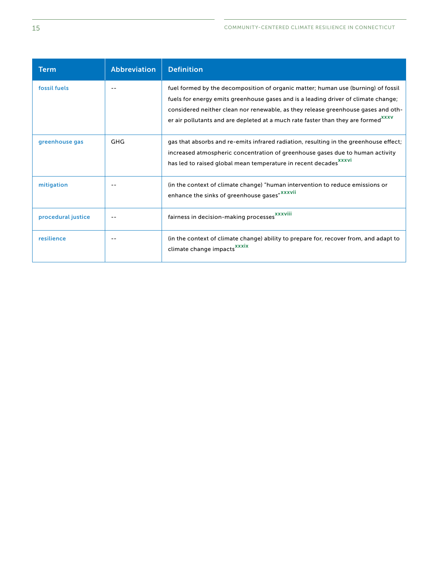| Term               | <b>Abbreviation</b> | <b>Definition</b>                                                                                                                                                                                                                                                                                                                                             |
|--------------------|---------------------|---------------------------------------------------------------------------------------------------------------------------------------------------------------------------------------------------------------------------------------------------------------------------------------------------------------------------------------------------------------|
| fossil fuels       |                     | fuel formed by the decomposition of organic matter; human use (burning) of fossil<br>fuels for energy emits greenhouse gases and is a leading driver of climate change;<br>considered neither clean nor renewable, as they release greenhouse gases and oth-<br>er air pollutants and are depleted at a much rate faster than they are formed <sup>XXXV</sup> |
| greenhouse gas     | GHG                 | gas that absorbs and re-emits infrared radiation, resulting in the greenhouse effect;<br>increased atmospheric concentration of greenhouse gases due to human activity<br>has led to raised global mean temperature in recent decades <sup>XXXVI</sup>                                                                                                        |
| mitigation         |                     | (in the context of climate change) "human intervention to reduce emissions or<br>enhance the sinks of greenhouse gases" XXXVII                                                                                                                                                                                                                                |
| procedural justice |                     | fairness in decision-making processes <sup>XXXVIII</sup>                                                                                                                                                                                                                                                                                                      |
| resilience         |                     | (in the context of climate change) ability to prepare for, recover from, and adapt to<br>climate change impacts <sup>xxxix</sup>                                                                                                                                                                                                                              |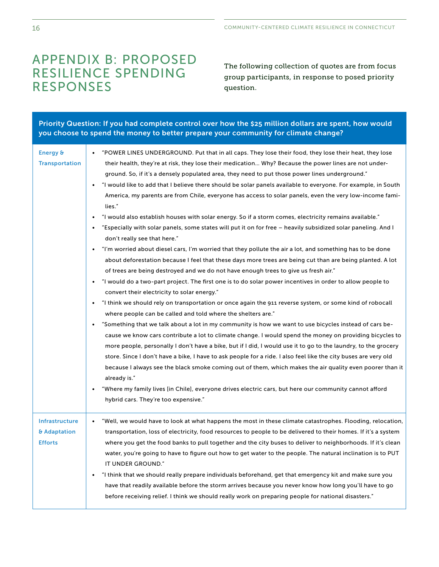# APPENDIX B: PROPOSED<br>RESILIENCE SPENDING group participants, in response to posed priority RESPONSES question.

| Priority Question: If you had complete control over how the \$25 million dollars are spent, how would<br>you choose to spend the money to better prepare your community for climate change? |                                                                                                                                                                                                                                                                                                                                                                                                                                                                                                                                                                                                                                                                                                                                                                                                                                                                                                                                                                                                                                                                                                                                                                                                                                                                                                                                                                                                                                                                                                                                                                                                                                                                                                                                                                                                                                                                                                                                                                                                                                                                                                                                                                                                                                 |  |  |
|---------------------------------------------------------------------------------------------------------------------------------------------------------------------------------------------|---------------------------------------------------------------------------------------------------------------------------------------------------------------------------------------------------------------------------------------------------------------------------------------------------------------------------------------------------------------------------------------------------------------------------------------------------------------------------------------------------------------------------------------------------------------------------------------------------------------------------------------------------------------------------------------------------------------------------------------------------------------------------------------------------------------------------------------------------------------------------------------------------------------------------------------------------------------------------------------------------------------------------------------------------------------------------------------------------------------------------------------------------------------------------------------------------------------------------------------------------------------------------------------------------------------------------------------------------------------------------------------------------------------------------------------------------------------------------------------------------------------------------------------------------------------------------------------------------------------------------------------------------------------------------------------------------------------------------------------------------------------------------------------------------------------------------------------------------------------------------------------------------------------------------------------------------------------------------------------------------------------------------------------------------------------------------------------------------------------------------------------------------------------------------------------------------------------------------------|--|--|
| Energy &<br><b>Transportation</b>                                                                                                                                                           | "POWER LINES UNDERGROUND. Put that in all caps. They lose their food, they lose their heat, they lose<br>$\bullet$<br>their health, they're at risk, they lose their medication Why? Because the power lines are not under-<br>ground. So, if it's a densely populated area, they need to put those power lines underground."<br>"I would like to add that I believe there should be solar panels available to everyone. For example, in South<br>America, my parents are from Chile, everyone has access to solar panels, even the very low-income fami-<br>lies."<br>"I would also establish houses with solar energy. So if a storm comes, electricity remains available."<br>"Especially with solar panels, some states will put it on for free - heavily subsidized solar paneling. And I<br>don't really see that here."<br>"I'm worried about diesel cars, I'm worried that they pollute the air a lot, and something has to be done<br>about deforestation because I feel that these days more trees are being cut than are being planted. A lot<br>of trees are being destroyed and we do not have enough trees to give us fresh air."<br>"I would do a two-part project. The first one is to do solar power incentives in order to allow people to<br>convert their electricity to solar energy."<br>"I think we should rely on transportation or once again the 911 reverse system, or some kind of robocall<br>where people can be called and told where the shelters are."<br>"Something that we talk about a lot in my community is how we want to use bicycles instead of cars be-<br>cause we know cars contribute a lot to climate change. I would spend the money on providing bicycles to<br>more people, personally I don't have a bike, but if I did, I would use it to go to the laundry, to the grocery<br>store. Since I don't have a bike, I have to ask people for a ride. I also feel like the city buses are very old<br>because I always see the black smoke coming out of them, which makes the air quality even poorer than it<br>already is."<br>"Where my family lives [in Chile], everyone drives electric cars, but here our community cannot afford<br>hybrid cars. They're too expensive." |  |  |
| <b>Infrastructure</b><br>& Adaptation<br><b>Efforts</b>                                                                                                                                     | "Well, we would have to look at what happens the most in these climate catastrophes. Flooding, relocation,<br>transportation, loss of electricity, food resources to people to be delivered to their homes. If it's a system<br>where you get the food banks to pull together and the city buses to deliver to neighborhoods. If it's clean<br>water, you're going to have to figure out how to get water to the people. The natural inclination is to PUT<br>IT UNDER GROUND."<br>"I think that we should really prepare individuals beforehand, get that emergency kit and make sure you<br>have that readily available before the storm arrives because you never know how long you'll have to go<br>before receiving relief. I think we should really work on preparing people for national disasters."                                                                                                                                                                                                                                                                                                                                                                                                                                                                                                                                                                                                                                                                                                                                                                                                                                                                                                                                                                                                                                                                                                                                                                                                                                                                                                                                                                                                                     |  |  |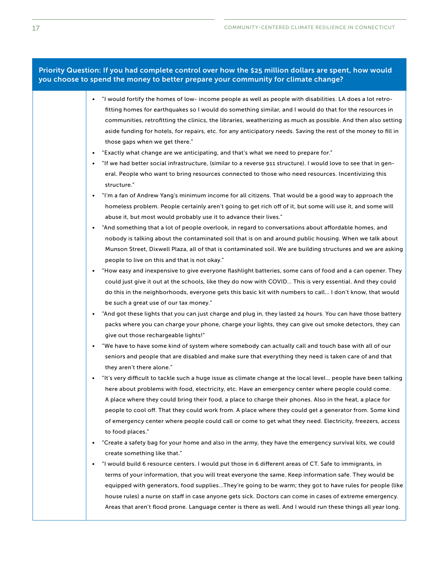#### Priority Question: If you had complete control over how the \$25 million dollars are spent, how would you choose to spend the money to better prepare your community for climate change?

- "I would fortify the homes of low- income people as well as people with disabilities. LA does a lot retroftting homes for earthquakes so I would do something similar, and I would do that for the resources in communities, retroftting the clinics, the libraries, weatherizing as much as possible. And then also setting aside funding for hotels, for repairs, etc. for any anticipatory needs. Saving the rest of the money to fll in those gaps when we get there."
- "Exactly what change are we anticipating, and that's what we need to prepare for."
- "If we had better social infrastructure, (similar to a reverse 911 structure). I would love to see that in general. People who want to bring resources connected to those who need resources. Incentivizing this structure."
- "I'm a fan of Andrew Yang's minimum income for all citizens. That would be a good way to approach the homeless problem. People certainly aren't going to get rich off of it, but some will use it, and some will abuse it, but most would probably use it to advance their lives."
- "And something that a lot of people overlook, in regard to conversations about affordable homes, and nobody is talking about the contaminated soil that is on and around public housing. When we talk about Munson Street, Dixwell Plaza, all of that is contaminated soil. We are building structures and we are asking people to live on this and that is not okay."
- "How easy and inexpensive to give everyone fashlight batteries, some cans of food and a can opener. They could just give it out at the schools, like they do now with COVID… This is very essential. And they could do this in the neighborhoods, everyone gets this basic kit with numbers to call… I don't know, that would be such a great use of our tax money."
- "And got these lights that you can just charge and plug in, they lasted 24 hours. You can have those battery packs where you can charge your phone, charge your lights, they can give out smoke detectors, they can give out those rechargeable lights!"
- "We have to have some kind of system where somebody can actually call and touch base with all of our seniors and people that are disabled and make sure that everything they need is taken care of and that they aren't there alone."
- "It's very difficult to tackle such a huge issue as climate change at the local level... people have been talking here about problems with food, electricity, etc. Have an emergency center where people could come. A place where they could bring their food, a place to charge their phones. Also in the heat, a place for people to cool off. That they could work from. A place where they could get a generator from. Some kind of emergency center where people could call or come to get what they need. Electricity, freezers, access to food places."
- "Create a safety bag for your home and also in the army, they have the emergency survival kits, we could create something like that."
- "I would build 6 resource centers. I would put those in 6 diferent areas of CT. Safe to immigrants, in terms of your information, that you will treat everyone the same. Keep information safe. They would be equipped with generators, food supplies...They're going to be warm; they got to have rules for people (like house rules) a nurse on staff in case anyone gets sick. Doctors can come in cases of extreme emergency. Areas that aren't food prone. Language center is there as well. And I would run these things all year long.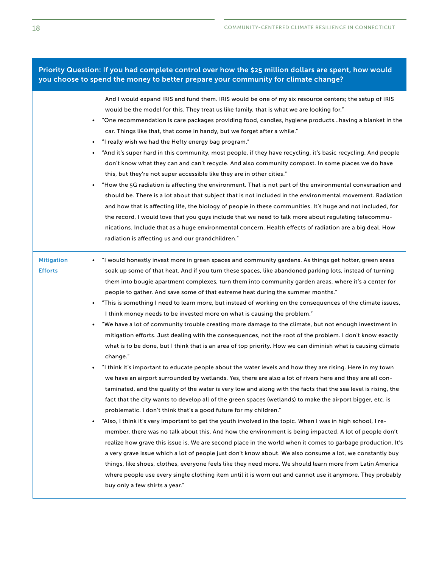#### Priority Question: If you had complete control over how the \$25 million dollars are spent, how would you choose to spend the money to better prepare your community for climate change?

|                                     | And I would expand IRIS and fund them. IRIS would be one of my six resource centers; the setup of IRIS<br>would be the model for this. They treat us like family, that is what we are looking for."<br>"One recommendation is care packages providing food, candles, hygiene productshaving a blanket in the<br>$\bullet$<br>car. Things like that, that come in handy, but we forget after a while."<br>"I really wish we had the Hefty energy bag program."<br>٠<br>"And it's super hard in this community, most people, if they have recycling, it's basic recycling. And people<br>don't know what they can and can't recycle. And also community compost. In some places we do have<br>this, but they're not super accessible like they are in other cities."<br>"How the 5G radiation is affecting the environment. That is not part of the environmental conversation and<br>٠<br>should be. There is a lot about that subject that is not included in the environmental movement. Radiation<br>and how that is affecting life, the biology of people in these communities. It's huge and not included, for<br>the record, I would love that you guys include that we need to talk more about regulating telecommu-<br>nications. Include that as a huge environmental concern. Health effects of radiation are a big deal. How<br>radiation is affecting us and our grandchildren."                                                                                                                                                                                                                                                                                                                                                                                                                                                                                                                                                                                                                                                                                                                                                                                                                       |
|-------------------------------------|-------------------------------------------------------------------------------------------------------------------------------------------------------------------------------------------------------------------------------------------------------------------------------------------------------------------------------------------------------------------------------------------------------------------------------------------------------------------------------------------------------------------------------------------------------------------------------------------------------------------------------------------------------------------------------------------------------------------------------------------------------------------------------------------------------------------------------------------------------------------------------------------------------------------------------------------------------------------------------------------------------------------------------------------------------------------------------------------------------------------------------------------------------------------------------------------------------------------------------------------------------------------------------------------------------------------------------------------------------------------------------------------------------------------------------------------------------------------------------------------------------------------------------------------------------------------------------------------------------------------------------------------------------------------------------------------------------------------------------------------------------------------------------------------------------------------------------------------------------------------------------------------------------------------------------------------------------------------------------------------------------------------------------------------------------------------------------------------------------------------------------------------------------------------------------------------------------------------|
| <b>Mitigation</b><br><b>Efforts</b> | "I would honestly invest more in green spaces and community gardens. As things get hotter, green areas<br>٠<br>soak up some of that heat. And if you turn these spaces, like abandoned parking lots, instead of turning<br>them into bougie apartment complexes, turn them into community garden areas, where it's a center for<br>people to gather. And save some of that extreme heat during the summer months."<br>"This is something I need to learn more, but instead of working on the consequences of the climate issues,<br>I think money needs to be invested more on what is causing the problem."<br>"We have a lot of community trouble creating more damage to the climate, but not enough investment in<br>mitigation efforts. Just dealing with the consequences, not the root of the problem. I don't know exactly<br>what is to be done, but I think that is an area of top priority. How we can diminish what is causing climate<br>change."<br>"I think it's important to educate people about the water levels and how they are rising. Here in my town<br>we have an airport surrounded by wetlands. Yes, there are also a lot of rivers here and they are all con-<br>taminated, and the quality of the water is very low and along with the facts that the sea level is rising, the<br>fact that the city wants to develop all of the green spaces (wetlands) to make the airport bigger, etc. is<br>problematic. I don't think that's a good future for my children."<br>"Also, I think it's very important to get the youth involved in the topic. When I was in high school, I re-<br>٠<br>member, there was no talk about this. And how the environment is being impacted. A lot of people don't<br>realize how grave this issue is. We are second place in the world when it comes to garbage production. It's<br>a very grave issue which a lot of people just don't know about. We also consume a lot, we constantly buy<br>things, like shoes, clothes, everyone feels like they need more. We should learn more from Latin America<br>where people use every single clothing item until it is worn out and cannot use it anymore. They probably<br>buy only a few shirts a year." |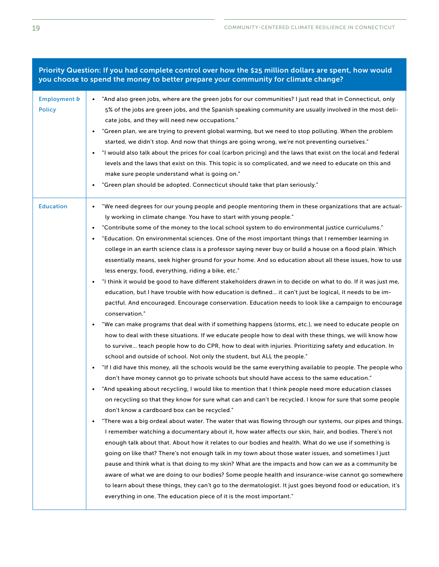Priority Question: If you had complete control over how the \$25 million dollars are spent, how would you choose to spend the money to better prepare your community for climate change?

| <b>Employment &amp;</b><br><b>Policy</b> | "And also green jobs, where are the green jobs for our communities? I just read that in Connecticut, only<br>5% of the jobs are green jobs, and the Spanish speaking community are usually involved in the most deli-<br>cate jobs, and they will need new occupations."<br>"Green plan, we are trying to prevent global warming, but we need to stop polluting. When the problem<br>started, we didn't stop. And now that things are going wrong, we're not preventing ourselves."<br>"I would also talk about the prices for coal (carbon pricing) and the laws that exist on the local and federal<br>levels and the laws that exist on this. This topic is so complicated, and we need to educate on this and<br>make sure people understand what is going on."<br>"Green plan should be adopted. Connecticut should take that plan seriously."<br>$\bullet$                                                                                                                                                                                                                                                                                                                                                                                                                                                                                                                                                                                                                                                                                                                                                                                                                                                                                                                                                                                                                                                                                                                                                                                                                                                                                                                                                                                                                                                                                                                                                                                                                                                                                                                                                                                                                                                                                                                                                     |
|------------------------------------------|----------------------------------------------------------------------------------------------------------------------------------------------------------------------------------------------------------------------------------------------------------------------------------------------------------------------------------------------------------------------------------------------------------------------------------------------------------------------------------------------------------------------------------------------------------------------------------------------------------------------------------------------------------------------------------------------------------------------------------------------------------------------------------------------------------------------------------------------------------------------------------------------------------------------------------------------------------------------------------------------------------------------------------------------------------------------------------------------------------------------------------------------------------------------------------------------------------------------------------------------------------------------------------------------------------------------------------------------------------------------------------------------------------------------------------------------------------------------------------------------------------------------------------------------------------------------------------------------------------------------------------------------------------------------------------------------------------------------------------------------------------------------------------------------------------------------------------------------------------------------------------------------------------------------------------------------------------------------------------------------------------------------------------------------------------------------------------------------------------------------------------------------------------------------------------------------------------------------------------------------------------------------------------------------------------------------------------------------------------------------------------------------------------------------------------------------------------------------------------------------------------------------------------------------------------------------------------------------------------------------------------------------------------------------------------------------------------------------------------------------------------------------------------------------------------------------|
| <b>Education</b>                         | "We need degrees for our young people and people mentoring them in these organizations that are actual-<br>$\bullet$<br>ly working in climate change. You have to start with young people."<br>"Contribute some of the money to the local school system to do environmental justice curriculums."<br>$\bullet$<br>"Education. On environmental sciences. One of the most important things that I remember learning in<br>college in an earth science class is a professor saying never buy or build a house on a flood plain. Which<br>essentially means, seek higher ground for your home. And so education about all these issues, how to use<br>less energy, food, everything, riding a bike, etc."<br>"I think it would be good to have different stakeholders drawn in to decide on what to do. If it was just me,<br>education, but I have trouble with how education is defined it can't just be logical, it needs to be im-<br>pactful. And encouraged. Encourage conservation. Education needs to look like a campaign to encourage<br>conservation."<br>"We can make programs that deal with if something happens (storms, etc.), we need to educate people on<br>how to deal with these situations. If we educate people how to deal with these things, we will know how<br>to survive teach people how to do CPR, how to deal with injuries. Prioritizing safety and education. In<br>school and outside of school. Not only the student, but ALL the people."<br>"If I did have this money, all the schools would be the same everything available to people. The people who<br>don't have money cannot go to private schools but should have access to the same education."<br>"And speaking about recycling, I would like to mention that I think people need more education classes<br>on recycling so that they know for sure what can and can't be recycled. I know for sure that some people<br>don't know a cardboard box can be recycled."<br>"There was a big ordeal about water. The water that was flowing through our systems, our pipes and things.<br>٠<br>I remember watching a documentary about it, how water affects our skin, hair, and bodies. There's not<br>enough talk about that. About how it relates to our bodies and health. What do we use if something is<br>going on like that? There's not enough talk in my town about those water issues, and sometimes I just<br>pause and think what is that doing to my skin? What are the impacts and how can we as a community be<br>aware of what we are doing to our bodies? Some people health and insurance-wise cannot go somewhere<br>to learn about these things, they can't go to the dermatologist. It just goes beyond food or education, it's<br>everything in one. The education piece of it is the most important." |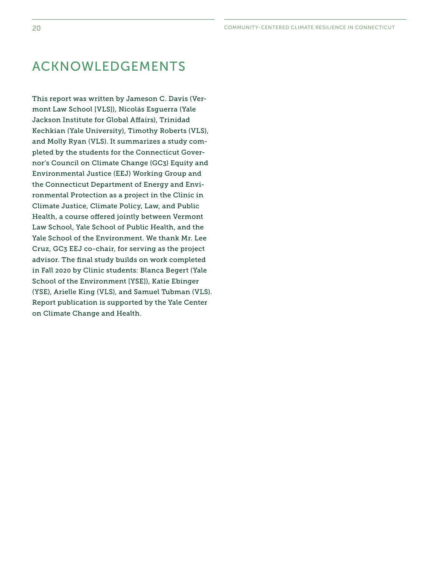### ACKNOWLEDGEMENTS

This report was written by Jameson C. Davis (Vermont Law School [VLS]), Nicolás Esguerra (Yale Jackson Institute for Global Affairs), Trinidad Kechkian (Yale University), Timothy Roberts (VLS), and Molly Ryan (VLS). It summarizes a study completed by the students for the Connecticut Governor's Council on Climate Change (GC3) Equity and Environmental Justice (EEJ) Working Group and the Connecticut Department of Energy and Environmental Protection as a project in the Clinic in Climate Justice, Climate Policy, Law, and Public Health, a course offered jointly between Vermont Law School, Yale School of Public Health, and the Yale School of the Environment. We thank Mr. Lee Cruz, GC3 EEJ co-chair, for serving as the project advisor. The final study builds on work completed in Fall 2020 by Clinic students: Blanca Begert (Yale School of the Environment [YSE]), Katie Ebinger (YSE), Arielle King (VLS), and Samuel Tubman (VLS). Report publication is supported by the Yale Center on Climate Change and Health.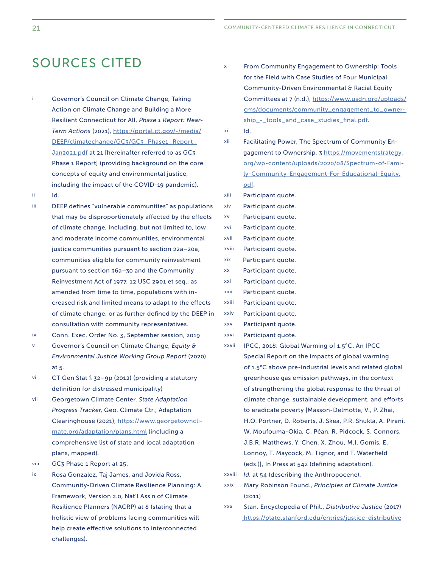### SOURCES CITED

- Resilient Connecticut for All, *Phase 1 Report: Near-* Phase 1 Report] (providing background on the core i Governor's Council on Climate Change, Taking Action on Climate Change and Building a More  *Term Actions* (2021), [https://portal.ct.gov/-/media/](https://portal.ct.gov/-/media/DEEP/climatechange/GC3/GC3_Phase1_Report_Jan2021.pdf)  [DEEP/climatechange/GC3/GC3\\_Phase1\\_Report\\_](https://portal.ct.gov/-/media/DEEP/climatechange/GC3/GC3_Phase1_Report_Jan2021.pdf)  [Jan2021.pdf](https://portal.ct.gov/-/media/DEEP/climatechange/GC3/GC3_Phase1_Report_Jan2021.pdf) at 21 [hereinafter referred to as GC3 concepts of equity and environmental justice, including the impact of the COVID-19 pandemic).
- ii Id.
- iii. and moderate income communities, environmental amended from time to time, populations with in- DEEP defines "vulnerable communities" as populations that may be disproportionately affected by the effects of climate change, including, but not limited to, low justice communities pursuant to section 22a–20a, communities eligible for community reinvestment pursuant to section 36a–30 and the Community Reinvestment Act of 1977, 12 USC 2901 et seq., as creased risk and limited means to adapt to the efects of climate change, or as further defned by the DEEP in consultation with community representatives.
- iv Conn. Exec. Order No. 3, September session, 2019
- *Environmental Justice Working Group Report* (2020) v Governor's Council on Climate Change, *Equity &* at 5.
- vi CT Gen Stat § 32–9p (2012) (providing a statutory definition for distressed municipality)
- vii Clearinghouse (2021), [https://www.georgetowncli-](https://www.georgetownclimate.org/adaptation/plans.html)**Georgetown Climate Center, State Adaptation**  *Progress Tracker*, Geo. Climate Ctr.; Adaptation [mate.org/adaptation/plans.html](https://www.georgetownclimate.org/adaptation/plans.html) (including a comprehensive list of state and local adaptation plans, mapped).
- viii GC3 Phase 1 Report at 25.
- ix Rosa Gonzalez, Taj James, and Jovida Ross, Community-Driven Climate Resilience Planning: A Framework, Version 2.0, Nat'l Ass'n of Climate Resilience Planners (NACRP) at 8 (stating that a holistic view of problems facing communities will help create efective solutions to interconnected challenges).
- x From Community Engagement to Ownership: Tools Community-Driven Environmental & Racial Equity for the Field with Case Studies of Four Municipal Committees at 7 (n.d.), [https://www.usdn.org/uploads/](https://www.usdn.org/uploads/cms/documents/community_engagement_to_ownership_-_tools_and_case_studies_final.pdf) [cms/documents/community\\_engagement\\_to\\_owner](https://www.usdn.org/uploads/cms/documents/community_engagement_to_ownership_-_tools_and_case_studies_final.pdf)[ship\\_-\\_tools\\_and\\_case\\_studies\\_fnal.pdf](https://www.usdn.org/uploads/cms/documents/community_engagement_to_ownership_-_tools_and_case_studies_final.pdf).
- xi xi Id.
- xii Facilitating Power, The Spectrum of Community Engagement to Ownership, 3 https://movementstrategy. [org/wp-content/uploads/2020/08/Spectrum-of-Fami](https://movementstrategy.org/wp-content/uploads/2020/08/Spectrum-of-Family-Community-Engagement-For-Educational-Equity.pdf)[ly-Community-Engagement-For-Educational-Equity.](https://movementstrategy.org/wp-content/uploads/2020/08/Spectrum-of-Family-Community-Engagement-For-Educational-Equity.pdf)  [pdf](https://movementstrategy.org/wp-content/uploads/2020/08/Spectrum-of-Family-Community-Engagement-For-Educational-Equity.pdf).
- xiii Participant quote.
- xiv Participant quote.
- XV Participant quote.
- xvi Participant quote.
- xvii Participant quote.
- xviii Participant quote.
- xix Participant quote.
- xx Participant quote.
- xxi Participant quote.
- xxii Participant quote.
- xxiii Participant quote.
- xxiv Participant quote.
- **XXV** Participant quote.
- xxvi Participant quote.
- xxvii climate change, sustainable development, and eforts IPCC, 2018: Global Warming of 1.5°C. An IPCC Special Report on the impacts of global warming of 1.5°C above pre-industrial levels and related global greenhouse gas emission pathways, in the context of strengthening the global response to the threat of to eradicate poverty [Masson-Delmotte, V., P. Zhai, H.O. Pörtner, D. Roberts, J. Skea, P.R. Shukla, A. Pirani, W. Moufouma-Okia, C. Péan, R. Pidcock, S. Connors, J.B.R. Matthews, Y. Chen, X. Zhou, M.I. Gomis, E. Lonnoy, T. Maycock, M. Tignor, and T. Waterfeld (eds.)], In Press at 542 (defning adaptation).
- xxviii *Id.* at 54 (describing the Anthropocene).
- xxix Mary Robinson Found., *Principles of Climate Justice* (2011)
- **XXX** Stan. Encyclopedia of Phil., *Distributive Justice* (2017)  [https://plato.stanford.edu/entries/justice-distributive](https://plato.stanford.edu/entries/justice-distributive/)